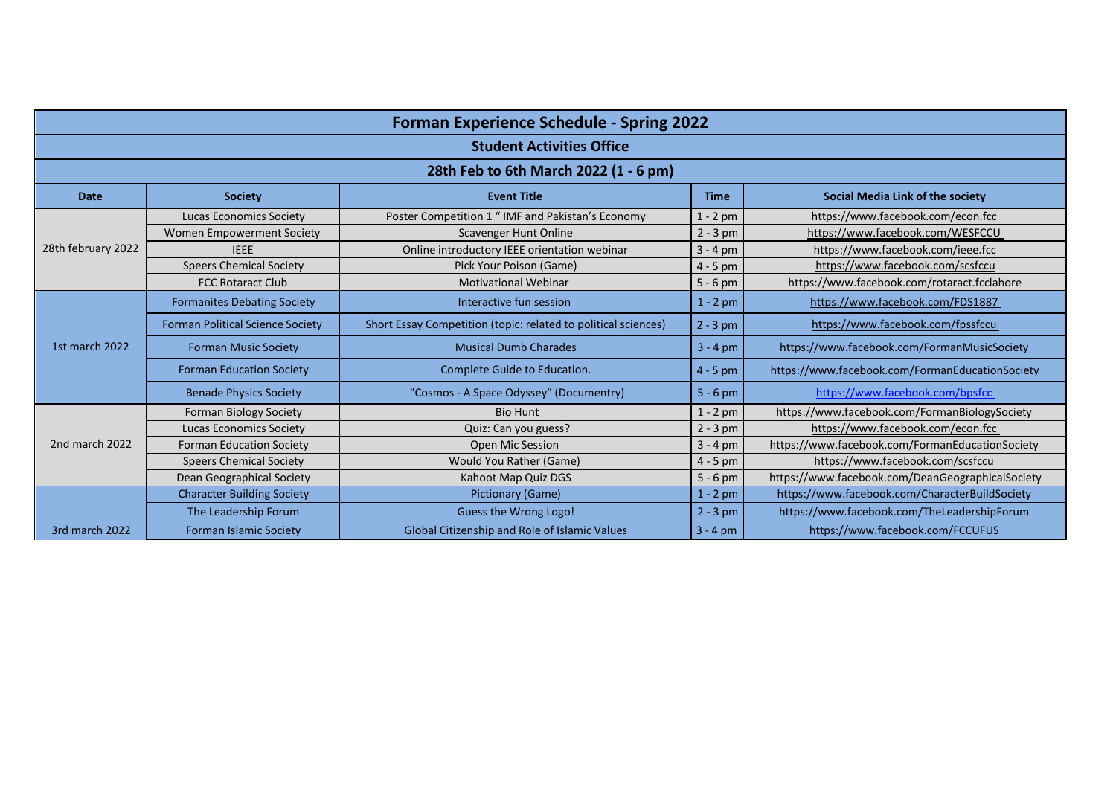| <b>Forman Experience Schedule - Spring 2022</b> |                                         |                                                                |             |                                                  |  |  |  |
|-------------------------------------------------|-----------------------------------------|----------------------------------------------------------------|-------------|--------------------------------------------------|--|--|--|
| <b>Student Activities Office</b>                |                                         |                                                                |             |                                                  |  |  |  |
| 28th Feb to 6th March 2022 (1 - 6 pm)           |                                         |                                                                |             |                                                  |  |  |  |
| <b>Date</b>                                     | <b>Society</b>                          | <b>Event Title</b>                                             | <b>Time</b> | Social Media Link of the society                 |  |  |  |
| 28th february 2022                              | <b>Lucas Economics Society</b>          | Poster Competition 1 " IMF and Pakistan's Economy              | $1 - 2$ pm  | https://www.facebook.com/econ.fcc                |  |  |  |
|                                                 | Women Empowerment Society               | <b>Scavenger Hunt Online</b>                                   | $2 - 3$ pm  | https://www.facebook.com/WESFCCU                 |  |  |  |
|                                                 | <b>IEEE</b>                             | Online introductory IEEE orientation webinar                   | $3 - 4$ pm  | https://www.facebook.com/ieee.fcc                |  |  |  |
|                                                 | <b>Speers Chemical Society</b>          | Pick Your Poison (Game)                                        | $4 - 5$ pm  | https://www.facebook.com/scsfccu                 |  |  |  |
|                                                 | <b>FCC Rotaract Club</b>                | <b>Motivational Webinar</b>                                    | $5 - 6$ pm  | https://www.facebook.com/rotaract.fcclahore      |  |  |  |
|                                                 | <b>Formanites Debating Society</b>      | Interactive fun session                                        | $1 - 2$ pm  | https://www.facebook.com/FDS1887                 |  |  |  |
|                                                 | <b>Forman Political Science Society</b> | Short Essay Competition (topic: related to political sciences) | $2 - 3$ pm  | https://www.facebook.com/fpssfccu                |  |  |  |
| 1st march 2022                                  | <b>Forman Music Society</b>             | <b>Musical Dumb Charades</b>                                   | $3 - 4 pm$  | https://www.facebook.com/FormanMusicSociety      |  |  |  |
|                                                 | <b>Forman Education Society</b>         | Complete Guide to Education.                                   | $4 - 5$ pm  | https://www.facebook.com/FormanEducationSociety  |  |  |  |
|                                                 | <b>Benade Physics Society</b>           | "Cosmos - A Space Odyssey" (Documentry)                        | $5 - 6$ pm  | https://www.facebook.com/bpsfcc                  |  |  |  |
| 2nd march 2022                                  | Forman Biology Society                  | <b>Bio Hunt</b>                                                | $1 - 2$ pm  | https://www.facebook.com/FormanBiologySociety    |  |  |  |
|                                                 | <b>Lucas Economics Society</b>          | Quiz: Can you guess?                                           | $2 - 3$ pm  | https://www.facebook.com/econ.fcc                |  |  |  |
|                                                 | <b>Forman Education Society</b>         | Open Mic Session                                               | $3 - 4$ pm  | https://www.facebook.com/FormanEducationSociety  |  |  |  |
|                                                 | <b>Speers Chemical Society</b>          | Would You Rather (Game)                                        | $4 - 5$ pm  | https://www.facebook.com/scsfccu                 |  |  |  |
|                                                 | Dean Geographical Society               | Kahoot Map Quiz DGS                                            | $5 - 6$ pm  | https://www.facebook.com/DeanGeographicalSociety |  |  |  |
|                                                 | <b>Character Building Society</b>       | Pictionary (Game)                                              | $1 - 2$ pm  | https://www.facebook.com/CharacterBuildSociety   |  |  |  |
|                                                 | The Leadership Forum                    | Guess the Wrong Logo!                                          | $2 - 3$ pm  | https://www.facebook.com/TheLeadershipForum      |  |  |  |
| 3rd march 2022                                  | Forman Islamic Society                  | Global Citizenship and Role of Islamic Values                  | $3 - 4$ pm  | https://www.facebook.com/FCCUFUS                 |  |  |  |